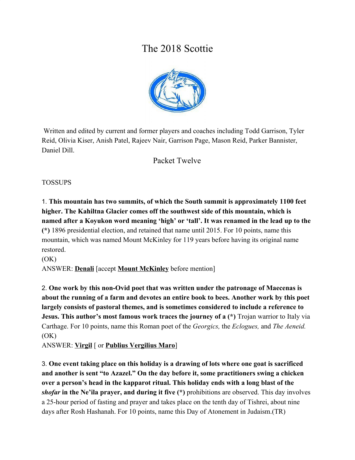# The 2018 Scottie



 Written and edited by current and former players and coaches including Todd Garrison, Tyler Reid, Olivia Kiser, Anish Patel, Rajeev Nair, Garrison Page, Mason Reid, Parker Bannister, Daniel Dill.

Packet Twelve

TOSSUPS

1. **This mountain has two summits, of which the South summit is approximately 1100 feet higher. The Kahiltna Glacier comes off the southwest side of this mountain, which is named after a Koyukon word meaning 'high' or 'tall'. It was renamed in the lead up to the (\*)** 1896 presidential election, and retained that name until 2015. For 10 points, name this mountain, which was named Mount McKinley for 119 years before having its original name restored.

 $(OK)$ 

ANSWER: **Denali** [accept **Mount McKinley** before mention]

2. **One work by this non-Ovid poet that was written under the patronage of Maecenas is about the running of a farm and devotes an entire book to bees. Another work by this poet largely consists of pastoral themes, and is sometimes considered to include a reference to Jesus. This author's most famous work traces the journey of a (\*)** Trojan warrior to Italy via Carthage. For 10 points, name this Roman poet of the *Georgics,* the *Eclogues,* and *The Aeneid.*  $(OK)$ 

ANSWER: **Virgil** [ or **Publius Vergilius Maro**]

3. **One event taking place on this holiday is a drawing of lots where one goat is sacrificed and another is sent "to Azazel." On the day before it, some practitioners swing a chicken over a person's head in the kapparot ritual. This holiday ends with a long blast of the** *shofar* **in the Ne'ila prayer, and during it five (\*)** prohibitions are observed. This day involves a 25-hour period of fasting and prayer and takes place on the tenth day of Tishrei, about nine days after Rosh Hashanah. For 10 points, name this Day of Atonement in Judaism.(TR)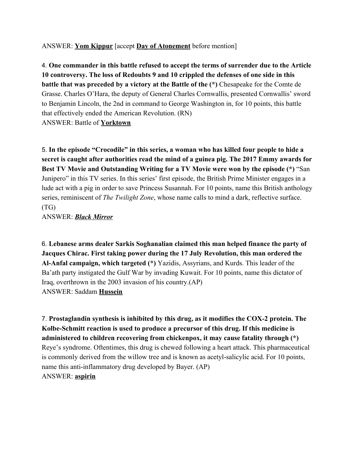ANSWER: **Yom Kippur** [accept **Day of Atonement** before mention]

4. **One commander in this battle refused to accept the terms of surrender due to the Article 10 controversy. The loss of Redoubts 9 and 10 crippled the defenses of one side in this battle that was preceded by a victory at the Battle of the (\*)** Chesapeake for the Comte de Grasse. Charles O'Hara, the deputy of General Charles Cornwallis, presented Cornwallis' sword to Benjamin Lincoln, the 2nd in command to George Washington in, for 10 points, this battle that effectively ended the American Revolution. (RN) ANSWER: Battle of **Yorktown**

5. **In the episode "Crocodile" in this series, a woman who has killed four people to hide a secret is caught after authorities read the mind of a guinea pig. The 2017 Emmy awards for Best TV Movie and Outstanding Writing for a TV Movie were won by the episode (\*)** "San Junipero" in this TV series. In this series' first episode, the British Prime Minister engages in a lude act with a pig in order to save Princess Susannah. For 10 points, name this British anthology series, reminiscent of *The Twilight Zone*, whose name calls to mind a dark, reflective surface. (TG)

ANSWER: *Black Mirror*

6. **Lebanese arms dealer Sarkis Soghanalian claimed this man helped finance the party of Jacques Chirac. First taking power during the 17 July Revolution, this man ordered the Al-Anfal campaign, which targeted (\*)** Yazidis, Assyrians, and Kurds. This leader of the Ba'ath party instigated the Gulf War by invading Kuwait. For 10 points, name this dictator of Iraq, overthrown in the 2003 invasion of his country.(AP) ANSWER: Saddam **Hussein**

7. **Prostaglandin synthesis is inhibited by this drug, as it modifies the COX-2 protein. The Kolbe-Schmitt reaction is used to produce a precursor of this drug. If this medicine is administered to children recovering from chickenpox, it may cause fatality through (\*)** Reye's syndrome. Oftentimes, this drug is chewed following a heart attack. This pharmaceutical is commonly derived from the willow tree and is known as acetyl-salicylic acid. For 10 points, name this anti-inflammatory drug developed by Bayer. (AP) ANSWER: **aspirin**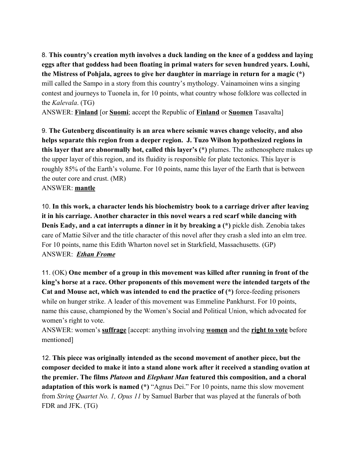8. **This country's creation myth involves a duck landing on the knee of a goddess and laying eggs after that goddess had been floating in primal waters for seven hundred years. Louhi, the Mistress of Pohjala, agrees to give her daughter in marriage in return for a magic (\*)** mill called the Sampo in a story from this country's mythology. Vainamoinen wins a singing contest and journeys to Tuonela in, for 10 points, what country whose folklore was collected in the *Kalevala*. (TG)

ANSWER: **Finland** [or **Suomi**; accept the Republic of **Finland** or **Suomen** Tasavalta]

9. **The Gutenberg discontinuity is an area where seismic waves change velocity, and also helps separate this region from a deeper region. J. Tuzo Wilson hypothesized regions in this layer that are abnormally hot, called this layer's (\*)** plumes. The asthenosphere makes up the upper layer of this region, and its fluidity is responsible for plate tectonics. This layer is roughly 85% of the Earth's volume. For 10 points, name this layer of the Earth that is between the outer core and crust. (MR)

ANSWER: **mantle**

10. **In this work, a character lends his biochemistry book to a carriage driver after leaving it in his carriage. Another character in this novel wears a red scarf while dancing with Denis Eady, and a cat interrupts a dinner in it by breaking a (\*)** pickle dish. Zenobia takes care of Mattie Silver and the title character of this novel after they crash a sled into an elm tree. For 10 points, name this Edith Wharton novel set in Starkfield, Massachusetts. (GP) ANSWER: *Ethan Frome*

11. (OK) **One member of a group in this movement was killed after running in front of the king's horse at a race. Other proponents of this movement were the intended targets of the Cat and Mouse act, which was intended to end the practice of (\*)** force-feeding prisoners while on hunger strike. A leader of this movement was Emmeline Pankhurst. For 10 points, name this cause, championed by the Women's Social and Political Union, which advocated for women's right to vote.

ANSWER: women's **suffrage** [accept: anything involving **women** and the **right to vote** before mentioned]

12. **This piece was originally intended as the second movement of another piece, but the composer decided to make it into a stand alone work after it received a standing ovation at the premier. The films** *Platoon* **and** *Elephant Man* **featured this composition, and a choral adaptation of this work is named (\*)** "Agnus Dei." For 10 points, name this slow movement from *String Quartet No. 1, Opus 11* by Samuel Barber that was played at the funerals of both FDR and JFK. (TG)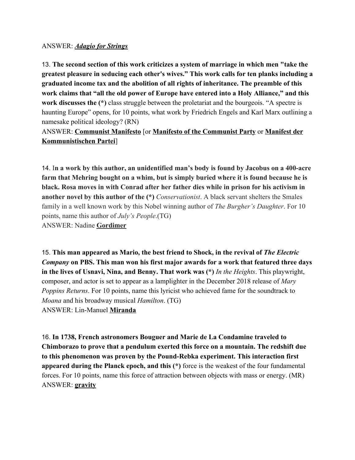#### ANSWER: *Adagio for Strings*

13. **The second section of this work criticizes a system of marriage in which men "take the greatest pleasure in seducing each other's wives." This work calls for ten planks including a graduated income tax and the abolition of all rights of inheritance. The preamble of this work claims that "all the old power of Europe have entered into a Holy Alliance," and this work discusses the (\*)** class struggle between the proletariat and the bourgeois. "A spectre is haunting Europe" opens, for 10 points, what work by Friedrich Engels and Karl Marx outlining a namesake political ideology? (RN)

#### ANSWER: **Communist Manifesto** [or **Manifesto of the Communist Party** or **Manifest der Kommunistischen Partei**]

14. I**n a work by this author, an unidentified man's body is found by Jacobus on a 400-acre farm that Mehring bought on a whim, but is simply buried where it is found because he is black. Rosa moves in with Conrad after her father dies while in prison for his activism in another novel by this author of the (\*)** *Conservationist*. A black servant shelters the Smales family in a well known work by this Nobel winning author of *The Burgher's Daughter*. For 10 points, name this author of *July's People*.(TG) ANSWER: Nadine **Gordimer**

15. **This man appeared as Mario, the best friend to Shock, in the revival of** *The Electric Company* **on PBS. This man won his first major awards for a work that featured three days in the lives of Usnavi, Nina, and Benny. That work was (\*)** *In the Heights*. This playwright, composer, and actor is set to appear as a lamplighter in the December 2018 release of *Mary Poppins Returns*. For 10 points, name this lyricist who achieved fame for the soundtrack to *Moana* and his broadway musical *Hamilton*. (TG) ANSWER: Lin-Manuel **Miranda**

16. **In 1738, French astronomers Bouguer and Marie de La Condamine traveled to Chimborazo to prove that a pendulum exerted this force on a mountain. The redshift due to this phenomenon was proven by the Pound-Rebka experiment. This interaction first appeared during the Planck epoch, and this (\*)** force is the weakest of the four fundamental forces. For 10 points, name this force of attraction between objects with mass or energy. (MR) ANSWER: **gravity**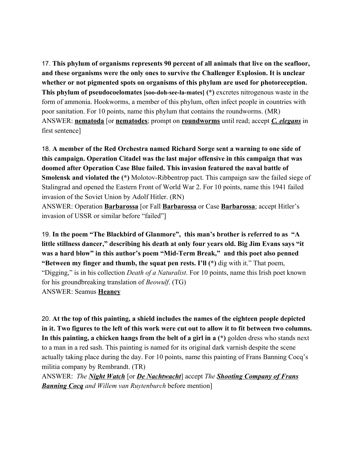17. **This phylum of organisms represents 90 percent of all animals that live on the seafloor, and these organisms were the only ones to survive the Challenger Explosion. It is unclear whether or not pigmented spots on organisms of this phylum are used for photoreception. This phylum of pseudocoelomates [soo-doh-see-la-mates] (\*)** excretes nitrogenous waste in the form of ammonia. Hookworms, a member of this phylum, often infect people in countries with poor sanitation. For 10 points, name this phylum that contains the roundworms. (MR) ANSWER: **nematoda** [or **nematodes**; prompt on **roundworms** until read; accept *C. elegans* in first sentence]

18. **A member of the Red Orchestra named Richard Sorge sent a warning to one side of this campaign. Operation Citadel was the last major offensive in this campaign that was doomed after Operation Case Blue failed. This invasion featured the naval battle of Smolensk and violated the (\*)** Molotov-Ribbentrop pact. This campaign saw the failed siege of Stalingrad and opened the Eastern Front of World War 2. For 10 points, name this 1941 failed invasion of the Soviet Union by Adolf Hitler. (RN)

ANSWER: Operation **Barbarossa** [or Fall **Barbarossa** or Case **Barbarossa**; accept Hitler's invasion of USSR or similar before "failed"]

19. **In the poem "The Blackbird of Glanmore", this man's brother is referred to as "A little stillness dancer," describing his death at only four years old. Big Jim Evans says "it was a hard blow" in this author's poem "Mid-Term Break," and this poet also penned "Between my finger and thumb, the squat pen rests. I'll (\*)** dig with it." That poem, "Digging," is in his collection *Death of a Naturalist*. For 10 points, name this Irish poet known for his groundbreaking translation of *Beowulf*. (TG) ANSWER: Seamus **Heaney**

20. **At the top of this painting, a shield includes the names of the eighteen people depicted in it. Two figures to the left of this work were cut out to allow it to fit between two columns. In this painting, a chicken hangs from the belt of a girl in a (\*)** golden dress who stands next to a man in a red sash. This painting is named for its original dark varnish despite the scene actually taking place during the day. For 10 points, name this painting of Frans Banning Cocq's militia company by Rembrandt. (TR)

ANSWER: *The Night Watch* [or *De Nachtwacht*] accept *The Shooting Company of Frans Banning Cocq and Willem van Ruytenburch* before mention]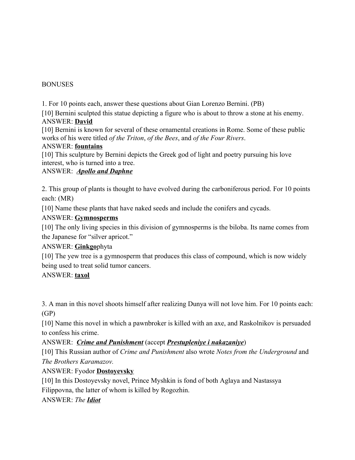#### **BONUSES**

1. For 10 points each, answer these questions about Gian Lorenzo Bernini. (PB)

[10] Bernini sculpted this statue depicting a figure who is about to throw a stone at his enemy. ANSWER: **David**

[10] Bernini is known for several of these ornamental creations in Rome. Some of these public works of his were titled *of the Triton*, *of the Bees*, and *of the Four Rivers*.

#### ANSWER: **fountains**

[10] This sculpture by Bernini depicts the Greek god of light and poetry pursuing his love interest, who is turned into a tree.

#### ANSWER: *Apollo and Daphne*

2. This group of plants is thought to have evolved during the carboniferous period. For 10 points each: (MR)

[10] Name these plants that have naked seeds and include the conifers and cycads.

#### ANSWER: **Gymnosperms**

[10] The only living species in this division of gymnosperms is the biloba. Its name comes from the Japanese for "silver apricot."

#### ANSWER: **Ginkgo**phyta

[10] The yew tree is a gymnosperm that produces this class of compound, which is now widely being used to treat solid tumor cancers.

#### ANSWER: **taxol**

3. A man in this novel shoots himself after realizing Dunya will not love him. For 10 points each: (GP)

[10] Name this novel in which a pawnbroker is killed with an axe, and Raskolnikov is persuaded to confess his crime.

#### ANSWER: *Crime and Punishment* (accept *Prestupleniye i nakazaniye*)

[10] This Russian author of *Crime and Punishment* also wrote *Notes from the Underground* and *The Brothers Karamazov.*

#### ANSWER: Fyodor **Dostoyevsky**

[10] In this Dostoyevsky novel, Prince Myshkin is fond of both Aglaya and Nastassya Filippovna, the latter of whom is killed by Rogozhin.

ANSWER: *The Idiot*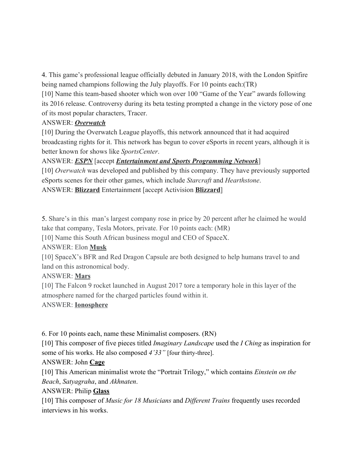4. This game's professional league officially debuted in January 2018, with the London Spitfire being named champions following the July playoffs. For 10 points each:(TR)

[10] Name this team-based shooter which won over 100 "Game of the Year" awards following its 2016 release. Controversy during its beta testing prompted a change in the victory pose of one of its most popular characters, Tracer.

### ANSWER: *Overwatch*

[10] During the Overwatch League playoffs, this network announced that it had acquired broadcasting rights for it. This network has begun to cover eSports in recent years, although it is better known for shows like *SportsCenter*.

ANSWER: *ESPN* [accept *Entertainment and Sports Programming Network*]

[10] *Overwatch* was developed and published by this company. They have previously supported eSports scenes for their other games, which include *Starcraft* and *Hearthstone*. ANSWER: **Blizzard** Entertainment [accept Activision **Blizzard**]

5. Share's in this man's largest company rose in price by 20 percent after he claimed he would take that company, Tesla Motors, private. For 10 points each: (MR)

[10] Name this South African business mogul and CEO of SpaceX.

ANSWER: Elon **Musk**

[10] SpaceX's BFR and Red Dragon Capsule are both designed to help humans travel to and land on this astronomical body.

ANSWER: **Mars**

[10] The Falcon 9 rocket launched in August 2017 tore a temporary hole in this layer of the atmosphere named for the charged particles found within it.

# ANSWER: **Ionosphere**

6. For 10 points each, name these Minimalist composers. (RN)

[10] This composer of five pieces titled *Imaginary Landscape* used the *I Ching* as inspiration for some of his works. He also composed *4'33"* [four thirty-three].

# ANSWER: John **Cage**

[10] This American minimalist wrote the "Portrait Trilogy," which contains *Einstein on the Beach*, *Satyagraha*, and *Akhnaten*.

ANSWER: Philip **Glass**

[10] This composer of *Music for 18 Musicians* and *Different Trains* frequently uses recorded interviews in his works.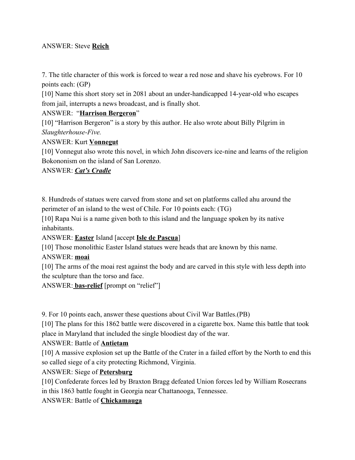#### ANSWER: Steve **Reich**

7. The title character of this work is forced to wear a red nose and shave his eyebrows. For 10 points each: (GP)

[10] Name this short story set in 2081 about an under-handicapped 14-year-old who escapes from jail, interrupts a news broadcast, and is finally shot.

#### ANSWER: "**Harrison Bergeron**"

[10] "Harrison Bergeron" is a story by this author. He also wrote about Billy Pilgrim in *Slaughterhouse-Five.*

#### ANSWER: Kurt **Vonnegut**

[10] Vonnegut also wrote this novel, in which John discovers ice-nine and learns of the religion Bokononism on the island of San Lorenzo.

#### ANSWER: *Cat's Cradle*

8. Hundreds of statues were carved from stone and set on platforms called ahu around the perimeter of an island to the west of Chile. For 10 points each: (TG)

[10] Rapa Nui is a name given both to this island and the language spoken by its native inhabitants.

ANSWER: **Easter** Island [accept **Isle de Pascua**]

[10] Those monolithic Easter Island statues were heads that are known by this name.

#### ANSWER: **moai**

[10] The arms of the moai rest against the body and are carved in this style with less depth into the sculpture than the torso and face.

ANSWER: **bas-relief** [prompt on "relief"]

9. For 10 points each, answer these questions about Civil War Battles.(PB)

[10] The plans for this 1862 battle were discovered in a cigarette box. Name this battle that took place in Maryland that included the single bloodiest day of the war.

#### ANSWER: Battle of **Antietam**

[10] A massive explosion set up the Battle of the Crater in a failed effort by the North to end this so called siege of a city protecting Richmond, Virginia.

#### ANSWER: Siege of **Petersburg**

[10] Confederate forces led by Braxton Bragg defeated Union forces led by William Rosecrans in this 1863 battle fought in Georgia near Chattanooga, Tennessee.

ANSWER: Battle of **Chickamauga**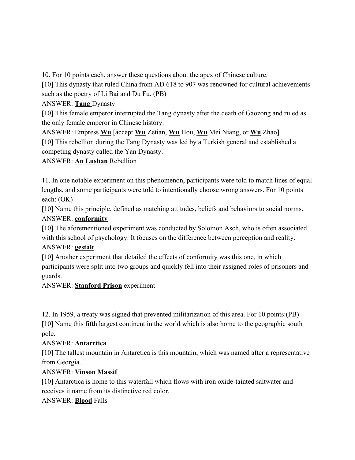10. For 10 points each, answer these questions about the apex of Chinese culture.

[10] This dynasty that ruled China from AD 618 to 907 was renowned for cultural achievements such as the poetry of Li Bai and Du Fu. (PB)

ANSWER: **Tang** Dynasty

[10] This female emperor interrupted the Tang dynasty after the death of Gaozong and ruled as the only female emperor in Chinese history.

ANSWER: Empress **Wu** [accept **Wu** Zetian, **Wu** Hou, **Wu** Mei Niang, or **Wu** Zhao]

[10] This rebellion during the Tang Dynasty was led by a Turkish general and established a competing dynasty called the Yan Dynasty.

ANSWER: **An Lushan** Rebellion

11. In one notable experiment on this phenomenon, participants were told to match lines of equal lengths, and some participants were told to intentionally choose wrong answers. For 10 points each: (OK)

[10] Name this principle, defined as matching attitudes, beliefs and behaviors to social norms. ANSWER: **conformity**

[10] The aforementioned experiment was conducted by Solomon Asch, who is often associated with this school of psychology. It focuses on the difference between perception and reality. ANSWER: **gestalt**

[10] Another experiment that detailed the effects of conformity was this one, in which participants were split into two groups and quickly fell into their assigned roles of prisoners and guards.

ANSWER: **Stanford Prison** experiment

12. In 1959, a treaty was signed that prevented militarization of this area. For 10 points:(PB) [10] Name this fifth largest continent in the world which is also home to the geographic south pole.

# ANSWER: **Antarctica**

[10] The tallest mountain in Antarctica is this mountain, which was named after a representative from Georgia.

# ANSWER: **Vinson Massif**

[10] Antarctica is home to this waterfall which flows with iron oxide-tainted saltwater and receives it name from its distinctive red color.

# ANSWER: **Blood** Falls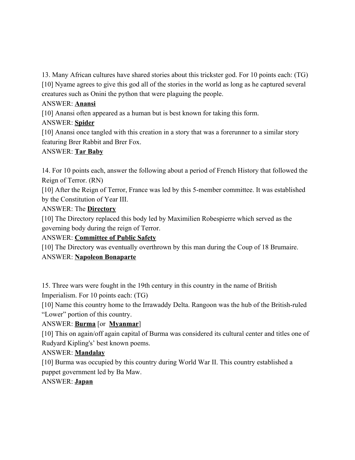13. Many African cultures have shared stories about this trickster god. For 10 points each: (TG) [10] Nyame agrees to give this god all of the stories in the world as long as he captured several creatures such as Onini the python that were plaguing the people.

# ANSWER: **Anansi**

[10] Anansi often appeared as a human but is best known for taking this form.

# ANSWER: **Spider**

[10] Anansi once tangled with this creation in a story that was a forerunner to a similar story featuring Brer Rabbit and Brer Fox.

# ANSWER: **Tar Baby**

14. For 10 points each, answer the following about a period of French History that followed the Reign of Terror. (RN)

[10] After the Reign of Terror, France was led by this 5-member committee. It was established by the Constitution of Year III.

# ANSWER: The **Directory**

[10] The Directory replaced this body led by Maximilien Robespierre which served as the governing body during the reign of Terror.

# ANSWER: **Committee of Public Safety**

[10] The Directory was eventually overthrown by this man during the Coup of 18 Brumaire. ANSWER: **Napoleon Bonaparte**

15. Three wars were fought in the 19th century in this country in the name of British Imperialism. For 10 points each: (TG)

[10] Name this country home to the Irrawaddy Delta. Rangoon was the hub of the British-ruled "Lower" portion of this country.

# ANSWER: **Burma** [or **Myanmar**]

[10] This on again/off again capital of Burma was considered its cultural center and titles one of Rudyard Kipling's' best known poems.

# ANSWER: **Mandalay**

[10] Burma was occupied by this country during World War II. This country established a puppet government led by Ba Maw.

# ANSWER: **Japan**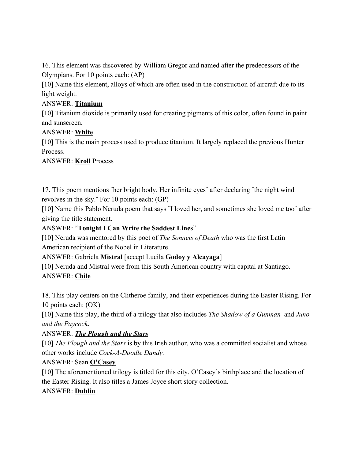16. This element was discovered by William Gregor and named after the predecessors of the Olympians. For 10 points each: (AP)

[10] Name this element, alloys of which are often used in the construction of aircraft due to its light weight.

#### ANSWER: **Titanium**

[10] Titanium dioxide is primarily used for creating pigments of this color, often found in paint and sunscreen.

### ANSWER: **White**

[10] This is the main process used to produce titanium. It largely replaced the previous Hunter Process.

ANSWER: **Kroll** Process

17. This poem mentions ¨her bright body. Her infinite eyes¨ after declaring ¨the night wind revolves in the sky.¨ For 10 points each: (GP)

[10] Name this Pablo Neruda poem that says ¨I loved her, and sometimes she loved me too¨ after giving the title statement.

### ANSWER: "**Tonight I Can Write the Saddest Lines**"

[10] Neruda was mentored by this poet of *The Sonnets of Death* who was the first Latin American recipient of the Nobel in Literature.

ANSWER: Gabriela **Mistral** [accept Lucila **Godoy y Alcayaga**]

[10] Neruda and Mistral were from this South American country with capital at Santiago. ANSWER: **Chile**

18. This play centers on the Clitheroe family, and their experiences during the Easter Rising. For 10 points each: (OK)

[10] Name this play, the third of a trilogy that also includes *The Shadow of a Gunman* and *Juno and the Paycock*.

# ANSWER: *The Plough and the Stars*

[10] *The Plough and the Stars* is by this Irish author, who was a committed socialist and whose other works include *Cock-A-Doodle Dandy.*

# ANSWER: Sean **O'Casey**

[10] The aforementioned trilogy is titled for this city, O'Casey's birthplace and the location of the Easter Rising. It also titles a James Joyce short story collection.

# ANSWER: **Dublin**